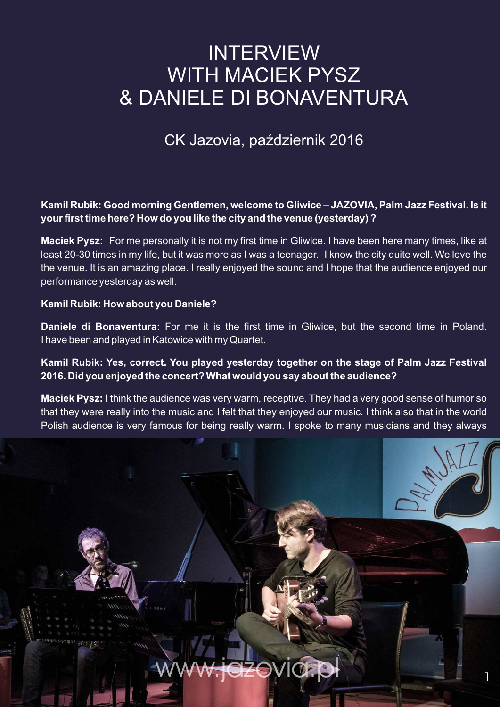# **INTERVIEW** WITH MACIEK PYSZ & DANIELE DI BONAVENTURA

## CK Jazovia, październik 2016

### **Kamil Rubik: Good morning Gentlemen, welcome to Gliwice – JAZOVIA, Palm Jazz Festival. Is it your first time here? How do you like the city and the venue (yesterday) ?**

**Maciek Pysz:** For me personally it is not my first time in Gliwice. I have been here many times, like at least 20-30 times in my life, but it was more as I was a teenager. I know the city quite well. We love the the venue. It is an amazing place. I really enjoyed the sound and I hope that the audience enjoyed our performance yesterday as well.

#### **Kamil Rubik: How about you Daniele?**

**Daniele di Bonaventura:** For me it is the first time in Gliwice, but the second time in Poland. I have been and played in Katowice with my Quartet.

### **Kamil Rubik: Yes, correct. You played yesterday together on the stage of Palm Jazz Festival 2016. Did you enjoyed the concert? What would you say about the audience?**

**Maciek Pysz:** I think the audience was very warm, receptive. They had a very good sense of humor so that they were really into the music and I felt that they enjoyed our music. I think also that in the world Polish audience is very famous for being really warm. I spoke to many musicians and they always

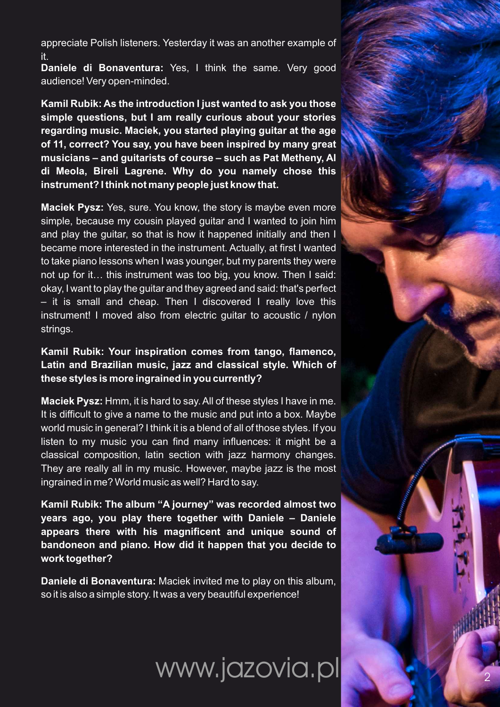appreciate Polish listeners. Yesterday it was an another example of it.

**Daniele di Bonaventura:** Yes, I think the same. Very good audience! Very open-minded.

**Kamil Rubik: As the introduction I just wanted to ask you those simple questions, but I am really curious about your stories regarding music. Maciek, you started playing guitar at the age of 11, correct? You say, you have been inspired by many great musicians – and guitarists of course – such as Pat Metheny, Al di Meola, Bireli Lagrene. Why do you namely chose this instrument? I think not many people just know that.**

**Maciek Pysz:** Yes, sure. You know, the story is maybe even more simple, because my cousin played guitar and I wanted to join him and play the guitar, so that is how it happened initially and then I became more interested in the instrument. Actually, at first I wanted to take piano lessons when I was younger, but my parents they were not up for it… this instrument was too big, you know. Then I said: okay, I want to play the guitar and they agreed and said: that's perfect – it is small and cheap. Then I discovered I really love this instrument! I moved also from electric guitar to acoustic / nylon strings.

**Kamil Rubik: Your inspiration comes from tango, flamenco, Latin and Brazilian music, jazz and classical style. Which of these styles is more ingrained in you currently?**

**Maciek Pysz:** Hmm, it is hard to say. All of these styles I have in me. It is difficult to give a name to the music and put into a box. Maybe world music in general? I think it is a blend of all of those styles. If you listen to my music you can find many influences: it might be a classical composition, latin section with jazz harmony changes. They are really all in my music. However, maybe jazz is the most ingrained in me? World music as well? Hard to say.

**Kamil Rubik: The album "A journey" was recorded almost two years ago, you play there together with Daniele – Daniele appears there with his magnificent and unique sound of bandoneon and piano. How did it happen that you decide to work together?**

**Daniele di Bonaventura:** Maciek invited me to play on this album, so it is also a simple story. It was a very beautiful experience!

www.jazovia.pl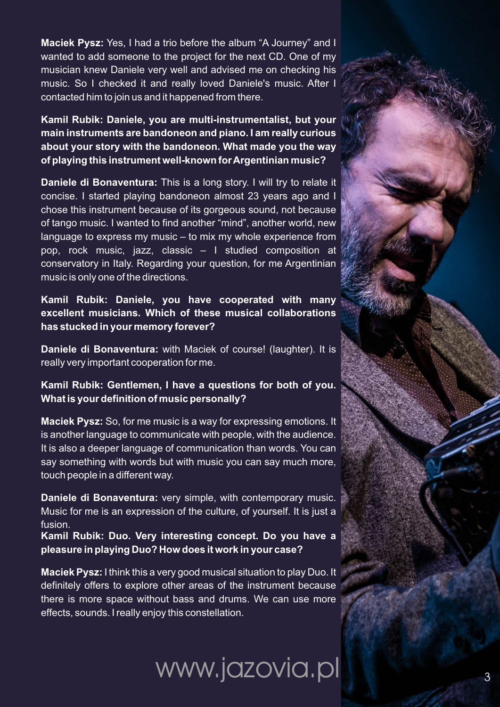**Maciek Pysz:** Yes, I had a trio before the album "A Journey" and I wanted to add someone to the project for the next CD. One of my musician knew Daniele very well and advised me on checking his music. So I checked it and really loved Daniele's music. After I contacted him to join us and it happened from there.

**Kamil Rubik: Daniele, you are multi-instrumentalist, but your main instruments are bandoneon and piano. I am really curious about your story with the bandoneon. What made you the way of playing this instrument well-known for Argentinian music?**

**Daniele di Bonaventura:** This is a long story. I will try to relate it concise. I started playing bandoneon almost 23 years ago and I chose this instrument because of its gorgeous sound, not because of tango music. I wanted to find another "mind", another world, new language to express my music – to mix my whole experience from pop, rock music, jazz, classic – I studied composition at conservatory in Italy. Regarding your question, for me Argentinian music is only one of the directions.

**Kamil Rubik: Daniele, you have cooperated with many excellent musicians. Which of these musical collaborations has stucked in your memory forever?**

**Daniele di Bonaventura:** with Maciek of course! (laughter). It is really very important cooperation for me.

**Kamil Rubik: Gentlemen, I have a questions for both of you. What is your definition of music personally?** 

**Maciek Pysz:** So, for me music is a way for expressing emotions. It is another language to communicate with people, with the audience. It is also a deeper language of communication than words. You can say something with words but with music you can say much more, touch people in a different way.

**Daniele di Bonaventura:** very simple, with contemporary music. Music for me is an expression of the culture, of yourself. It is just a fusion.

**Kamil Rubik: Duo. Very interesting concept. Do you have a pleasure in playing Duo? How does it work in your case?**

**Maciek Pysz:** I think this a very good musical situation to play Duo. It definitely offers to explore other areas of the instrument because there is more space without bass and drums. We can use more effects, sounds. I really enjoy this constellation.

www.jazovia.pl